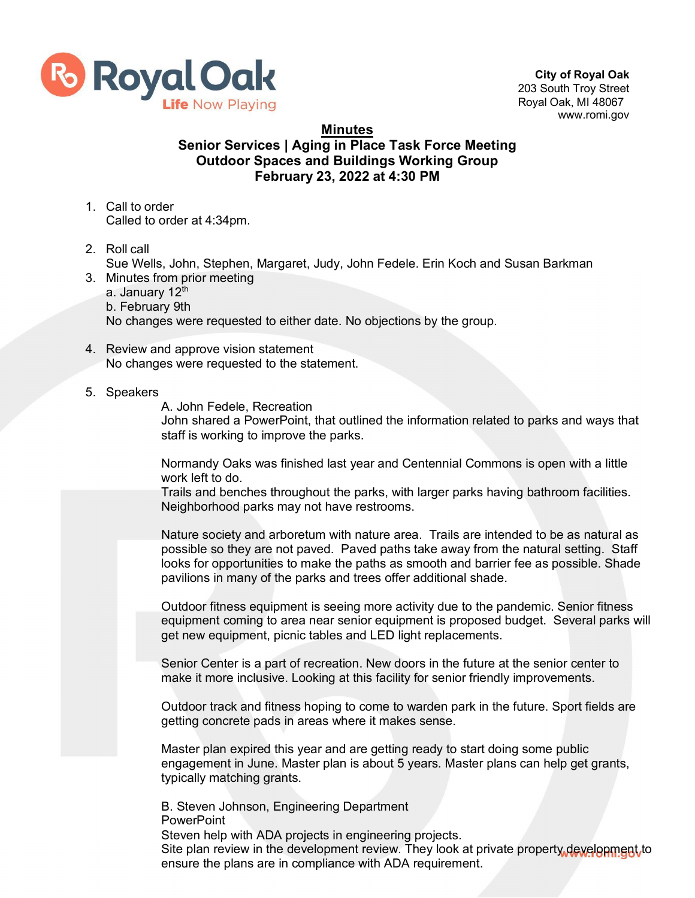

**City of Royal Oak** 203 South Troy Street Royal Oak, MI 48067 [www.romi.gov](http://www.romi.gov/)

**Minutes**

## **Senior Services | Aging in Place Task Force Meeting Outdoor Spaces and Buildings Working Group February 23, 2022 at 4:30 PM**

- 1. Call to order Called to order at 4:34pm.
- 2. Roll call

Sue Wells, John, Stephen, Margaret, Judy, John Fedele. Erin Koch and Susan Barkman

- 3. Minutes from prior meeting a. January 12<sup>th</sup> b. February 9th No changes were requested to either date. No objections by the group.
- 4. Review and approve vision statement No changes were requested to the statement.
- 5. Speakers

A. John Fedele, Recreation

John shared a PowerPoint, that outlined the information related to parks and ways that staff is working to improve the parks.

Normandy Oaks was finished last year and Centennial Commons is open with a little work left to do.

Trails and benches throughout the parks, with larger parks having bathroom facilities. Neighborhood parks may not have restrooms.

Nature society and arboretum with nature area. Trails are intended to be as natural as possible so they are not paved. Paved paths take away from the natural setting. Staff looks for opportunities to make the paths as smooth and barrier fee as possible. Shade pavilions in many of the parks and trees offer additional shade.

Outdoor fitness equipment is seeing more activity due to the pandemic. Senior fitness equipment coming to area near senior equipment is proposed budget. Several parks will get new equipment, picnic tables and LED light replacements.

Senior Center is a part of recreation. New doors in the future at the senior center to make it more inclusive. Looking at this facility for senior friendly improvements.

Outdoor track and fitness hoping to come to warden park in the future. Sport fields are getting concrete pads in areas where it makes sense.

Master plan expired this year and are getting ready to start doing some public engagement in June. Master plan is about 5 years. Master plans can help get grants, typically matching grants.

B. Steven Johnson, Engineering Department **PowerPoint** Steven help with ADA projects in engineering projects. Site plan review in the development review. They look at private property development to ensure the plans are in compliance with ADA requirement.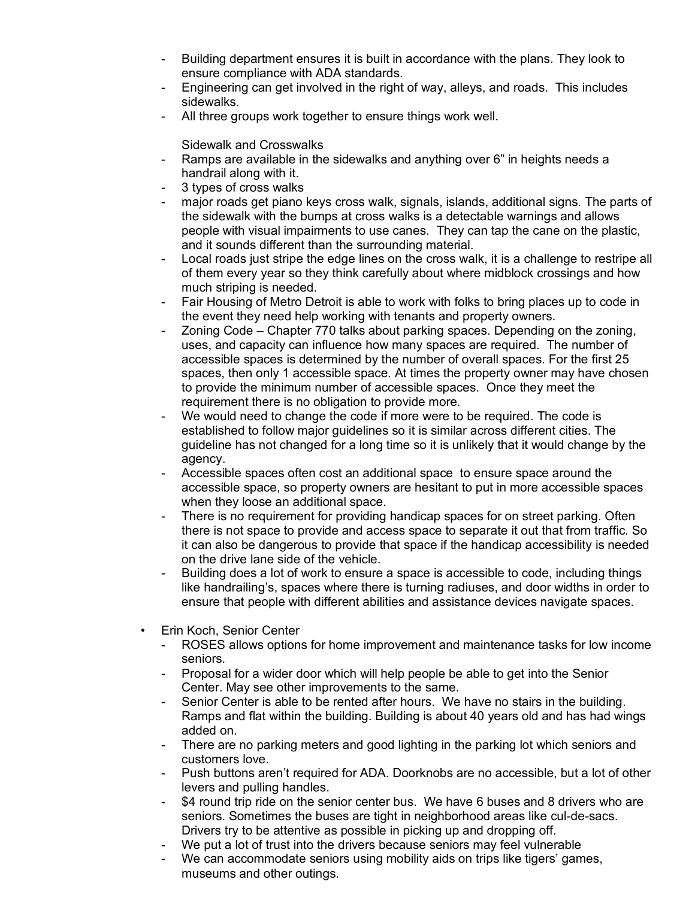- Building department ensures it is built in accordance with the plans. They look to ensure compliance with ADA standards.
- Engineering can get involved in the right of way, alleys, and roads. This includes sidewalks.
- All three groups work together to ensure things work well.

Sidewalk and Crosswalks

- Ramps are available in the sidewalks and anything over 6" in heights needs a handrail along with it.
- 3 types of cross walks
- major roads get piano keys cross walk, signals, islands, additional signs. The parts of the sidewalk with the bumps at cross walks is a detectable warnings and allows people with visual impairments to use canes. They can tap the cane on the plastic, and it sounds different than the surrounding material.
- Local roads just stripe the edge lines on the cross walk, it is a challenge to restripe all of them every year so they think carefully about where midblock crossings and how much striping is needed.
- Fair Housing of Metro Detroit is able to work with folks to bring places up to code in the event they need help working with tenants and property owners.
- Zoning Code Chapter 770 talks about parking spaces. Depending on the zoning, uses, and capacity can influence how many spaces are required. The number of accessible spaces is determined by the number of overall spaces. For the first 25 spaces, then only 1 accessible space. At times the property owner may have chosen to provide the minimum number of accessible spaces. Once they meet the requirement there is no obligation to provide more.
- We would need to change the code if more were to be required. The code is established to follow major guidelines so it is similar across different cities. The guideline has not changed for a long time so it is unlikely that it would change by the agency.
- Accessible spaces often cost an additional space to ensure space around the accessible space, so property owners are hesitant to put in more accessible spaces when they loose an additional space.
- There is no requirement for providing handicap spaces for on street parking. Often there is not space to provide and access space to separate it out that from traffic. So it can also be dangerous to provide that space if the handicap accessibility is needed on the drive lane side of the vehicle.
- Building does a lot of work to ensure a space is accessible to code, including things like handrailing's, spaces where there is turning radiuses, and door widths in order to ensure that people with different abilities and assistance devices navigate spaces.
- Erin Koch, Senior Center
	- ROSES allows options for home improvement and maintenance tasks for low income seniors.
	- Proposal for a wider door which will help people be able to get into the Senior Center. May see other improvements to the same.
	- Senior Center is able to be rented after hours. We have no stairs in the building. Ramps and flat within the building. Building is about 40 years old and has had wings added on.
	- There are no parking meters and good lighting in the parking lot which seniors and customers love.
	- Push buttons aren't required for ADA. Doorknobs are no accessible, but a lot of other levers and pulling handles.
	- \$4 round trip ride on the senior center bus. We have 6 buses and 8 drivers who are seniors. Sometimes the buses are tight in neighborhood areas like cul-de-sacs. Drivers try to be attentive as possible in picking up and dropping off.
	- We put a lot of trust into the drivers because seniors may feel vulnerable
	- We can accommodate seniors using mobility aids on trips like tigers' games, museums and other outings.